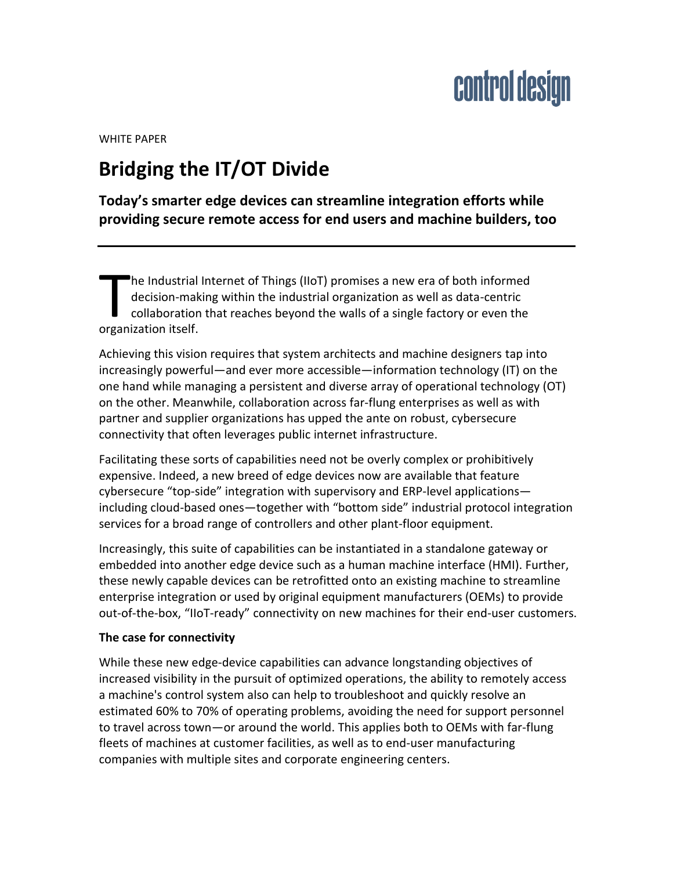WHITE PAPER

### **Bridging the IT/OT Divide**

**Today's smarter edge devices can streamline integration efforts while providing secure remote access for end users and machine builders, too**

he Industrial Internet of Things (IIoT) promises a new era of both informed decision-making within the industrial organization as well as data-centric collaboration that reaches beyond the walls of a single factory or even the The Industrial<br>decision-mal<br>collaboration<br>organization itself.

Achieving this vision requires that system architects and machine designers tap into increasingly powerful—and ever more accessible—information technology (IT) on the one hand while managing a persistent and diverse array of operational technology (OT) on the other. Meanwhile, collaboration across far-flung enterprises as well as with partner and supplier organizations has upped the ante on robust, cybersecure connectivity that often leverages public internet infrastructure.

Facilitating these sorts of capabilities need not be overly complex or prohibitively expensive. Indeed, a new breed of edge devices now are available that feature cybersecure "top-side" integration with supervisory and ERP-level applications including cloud-based ones—together with "bottom side" industrial protocol integration services for a broad range of controllers and other plant-floor equipment.

Increasingly, this suite of capabilities can be instantiated in a standalone gateway or embedded into another edge device such as a human machine interface (HMI). Further, these newly capable devices can be retrofitted onto an existing machine to streamline enterprise integration or used by original equipment manufacturers (OEMs) to provide out-of-the-box, "IIoT-ready" connectivity on new machines for their end-user customers.

#### **The case for connectivity**

While these new edge-device capabilities can advance longstanding objectives of increased visibility in the pursuit of optimized operations, the ability to remotely access a machine's control system also can help to troubleshoot and quickly resolve an estimated 60% to 70% of operating problems, avoiding the need for support personnel to travel across town—or around the world. This applies both to OEMs with far-flung fleets of machines at customer facilities, as well as to end-user manufacturing companies with multiple sites and corporate engineering centers.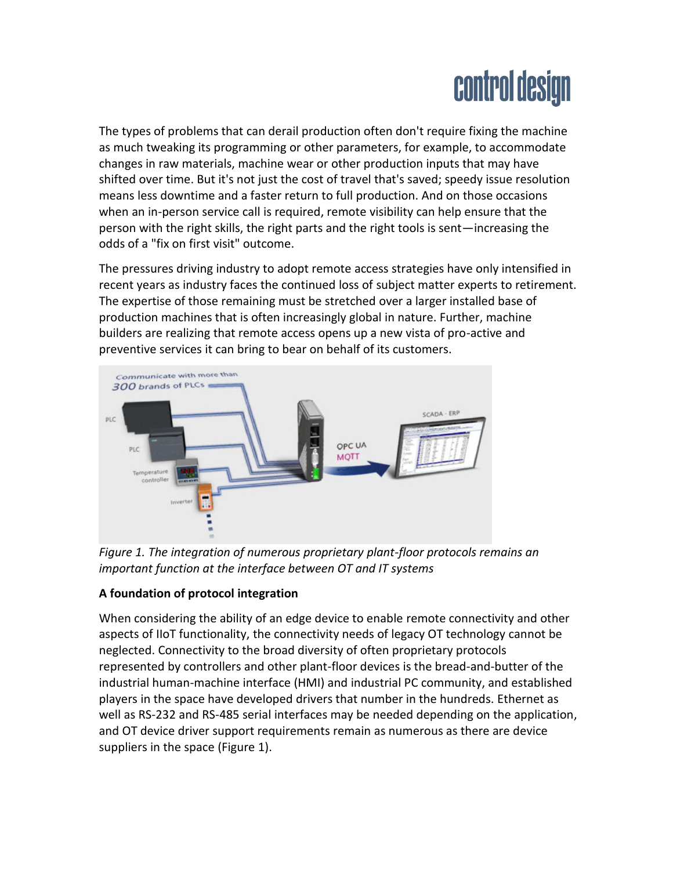The types of problems that can derail production often don't require fixing the machine as much tweaking its programming or other parameters, for example, to accommodate changes in raw materials, machine wear or other production inputs that may have shifted over time. But it's not just the cost of travel that's saved; speedy issue resolution means less downtime and a faster return to full production. And on those occasions when an in-person service call is required, remote visibility can help ensure that the person with the right skills, the right parts and the right tools is sent—increasing the odds of a "fix on first visit" outcome.

The pressures driving industry to adopt remote access strategies have only intensified in recent years as industry faces the continued loss of subject matter experts to retirement. The expertise of those remaining must be stretched over a larger installed base of production machines that is often increasingly global in nature. Further, machine builders are realizing that remote access opens up a new vista of pro-active and preventive services it can bring to bear on behalf of its customers.



*Figure 1. The integration of numerous proprietary plant-floor protocols remains an important function at the interface between OT and IT systems*

### **A foundation of protocol integration**

When considering the ability of an edge device to enable remote connectivity and other aspects of IIoT functionality, the connectivity needs of legacy OT technology cannot be neglected. Connectivity to the broad diversity of often proprietary protocols represented by controllers and other plant-floor devices is the bread-and-butter of the industrial human-machine interface (HMI) and industrial PC community, and established players in the space have developed drivers that number in the hundreds. Ethernet as well as RS-232 and RS-485 serial interfaces may be needed depending on the application, and OT device driver support requirements remain as numerous as there are device suppliers in the space (Figure 1).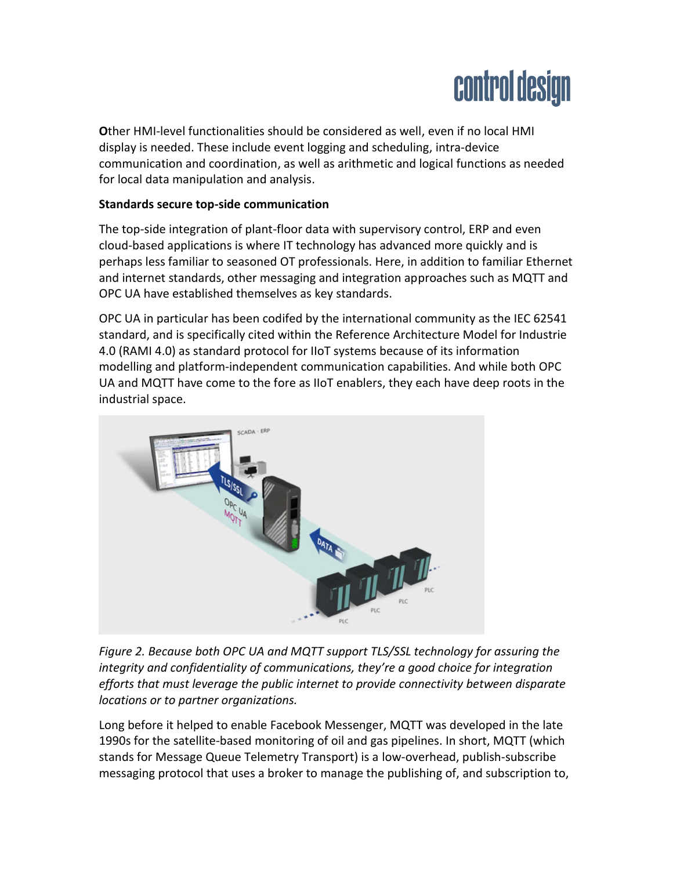**O**ther HMI-level functionalities should be considered as well, even if no local HMI display is needed. These include event logging and scheduling, intra-device communication and coordination, as well as arithmetic and logical functions as needed for local data manipulation and analysis.

### **Standards secure top-side communication**

The top-side integration of plant-floor data with supervisory control, ERP and even cloud-based applications is where IT technology has advanced more quickly and is perhaps less familiar to seasoned OT professionals. Here, in addition to familiar Ethernet and internet standards, other messaging and integration approaches such as MQTT and OPC UA have established themselves as key standards.

OPC UA in particular has been codifed by the international community as the IEC 62541 standard, and is specifically cited within the Reference Architecture Model for Industrie 4.0 (RAMI 4.0) as standard protocol for IIoT systems because of its information modelling and platform-independent communication capabilities. And while both OPC UA and MQTT have come to the fore as IIoT enablers, they each have deep roots in the industrial space.



*Figure 2. Because both OPC UA and MQTT support TLS/SSL technology for assuring the integrity and confidentiality of communications, they're a good choice for integration efforts that must leverage the public internet to provide connectivity between disparate locations or to partner organizations.*

Long before it helped to enable Facebook Messenger, MQTT was developed in the late 1990s for the satellite-based monitoring of oil and gas pipelines. In short, MQTT (which stands for Message Queue Telemetry Transport) is a low-overhead, publish-subscribe messaging protocol that uses a broker to manage the publishing of, and subscription to,